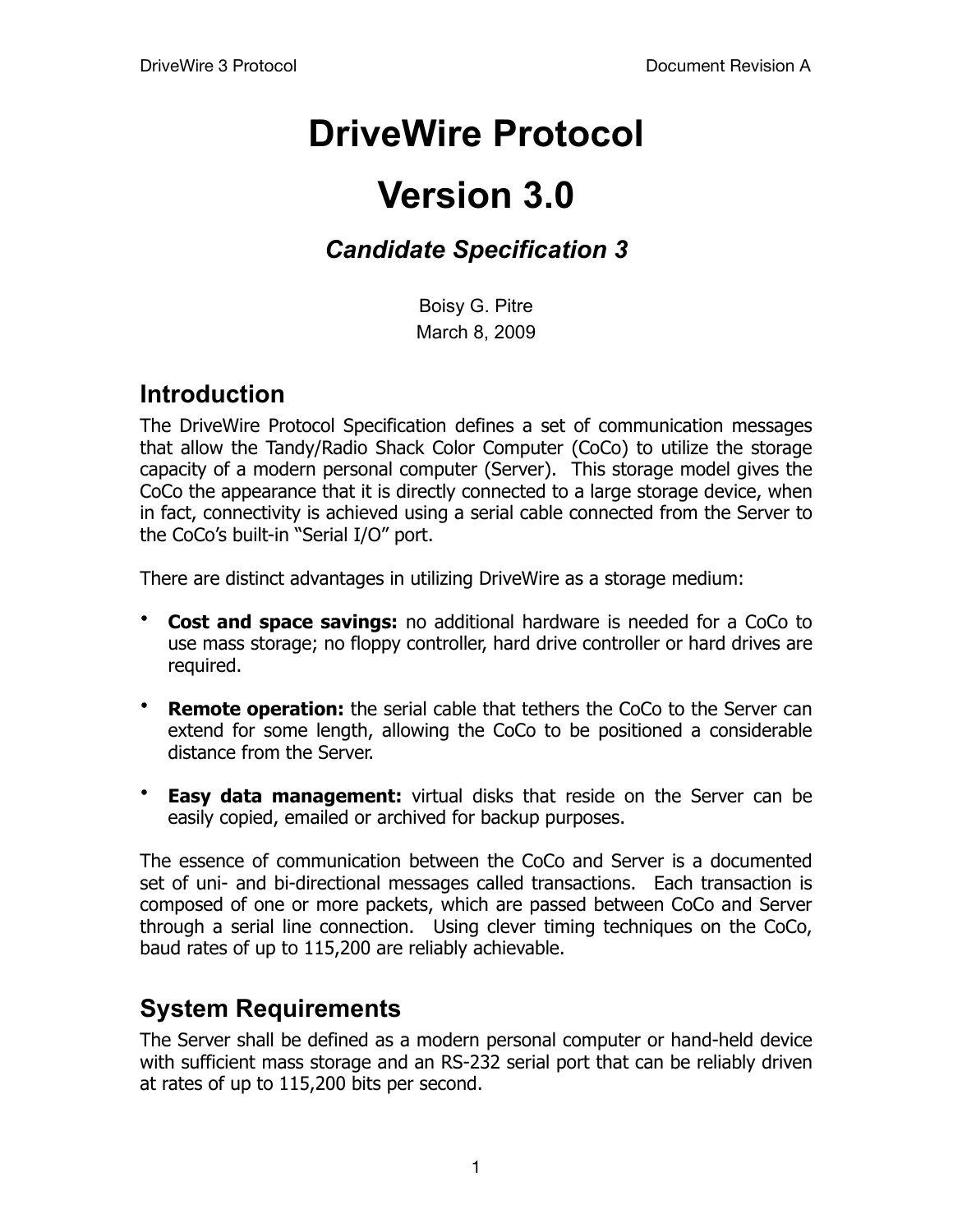# **DriveWire Protocol**

# **Version 3.0**

# *Candidate Specification 3*

Boisy G. Pitre March 8, 2009

## **Introduction**

The DriveWire Protocol Specification defines a set of communication messages that allow the Tandy/Radio Shack Color Computer (CoCo) to utilize the storage capacity of a modern personal computer (Server). This storage model gives the CoCo the appearance that it is directly connected to a large storage device, when in fact, connectivity is achieved using a serial cable connected from the Server to the CoCo's built-in "Serial I/O" port.

There are distinct advantages in utilizing DriveWire as a storage medium:

- **Cost and space savings:** no additional hardware is needed for a CoCo to use mass storage; no floppy controller, hard drive controller or hard drives are required.
- **Remote operation:** the serial cable that tethers the CoCo to the Server can extend for some length, allowing the CoCo to be positioned a considerable distance from the Server.
- **Easy data management:** virtual disks that reside on the Server can be easily copied, emailed or archived for backup purposes.

The essence of communication between the CoCo and Server is a documented set of uni- and bi-directional messages called transactions. Each transaction is composed of one or more packets, which are passed between CoCo and Server through a serial line connection. Using clever timing techniques on the CoCo, baud rates of up to 115,200 are reliably achievable.

## **System Requirements**

The Server shall be defined as a modern personal computer or hand-held device with sufficient mass storage and an RS-232 serial port that can be reliably driven at rates of up to 115,200 bits per second.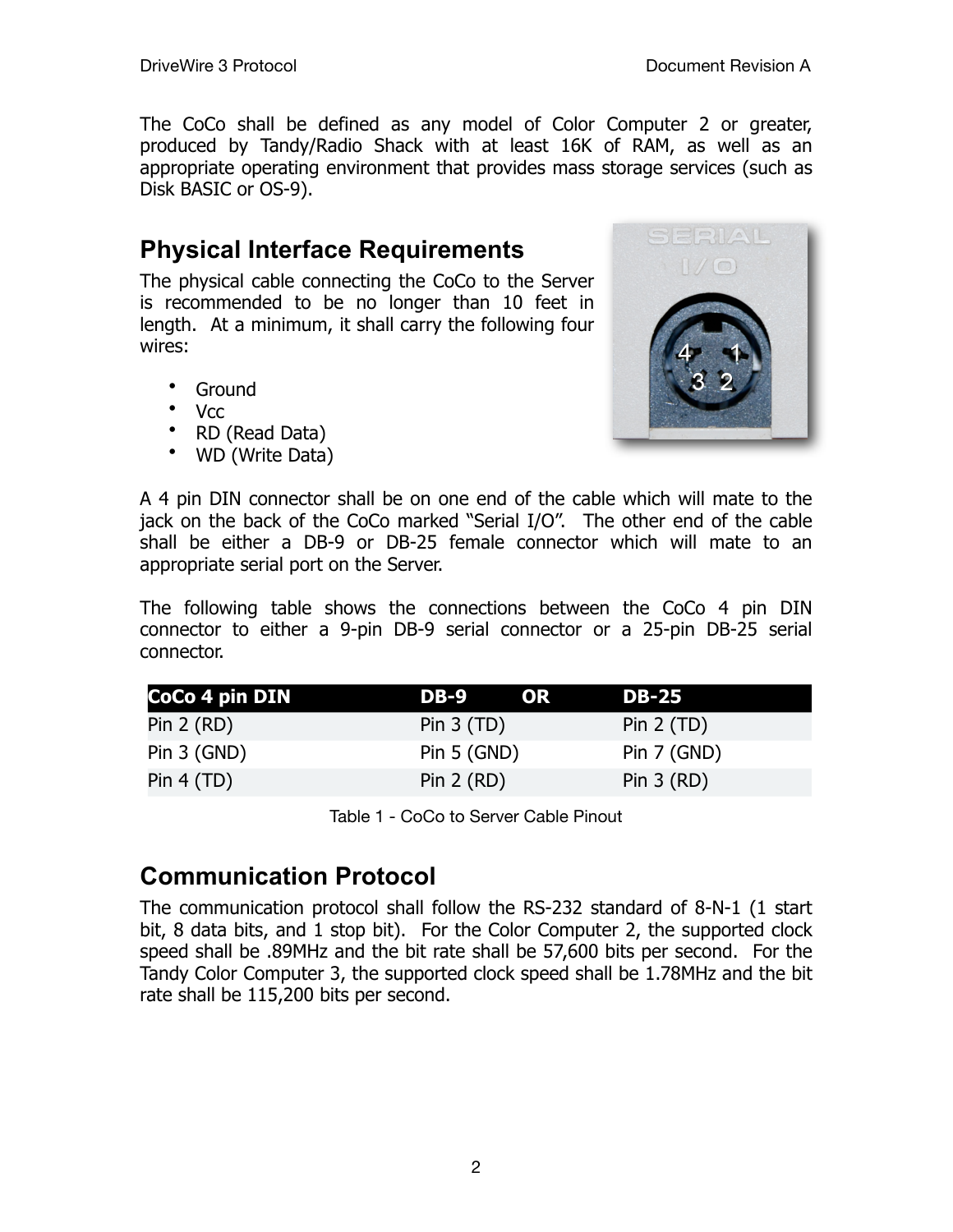The CoCo shall be defined as any model of Color Computer 2 or greater, produced by Tandy/Radio Shack with at least 16K of RAM, as well as an appropriate operating environment that provides mass storage services (such as Disk BASIC or OS-9).

# **Physical Interface Requirements**

The physical cable connecting the CoCo to the Server is recommended to be no longer than 10 feet in length. At a minimum, it shall carry the following four wires:

- Ground
- Vcc
- RD (Read Data)
- WD (Write Data)



A 4 pin DIN connector shall be on one end of the cable which will mate to the jack on the back of the CoCo marked "Serial I/O". The other end of the cable shall be either a DB-9 or DB-25 female connector which will mate to an appropriate serial port on the Server.

The following table shows the connections between the CoCo 4 pin DIN connector to either a 9-pin DB-9 serial connector or a 25-pin DB-25 serial connector.

| CoCo 4 pin DIN | DB-9          | OR. | <b>DB-25</b>  |
|----------------|---------------|-----|---------------|
| Pin $2 (RD)$   | Pin $3(TD)$   |     | Pin $2(TD)$   |
| Pin $3$ (GND)  | Pin $5$ (GND) |     | Pin $7$ (GND) |
| Pin 4 (TD)     | Pin $2$ (RD)  |     | Pin $3(RD)$   |

Table 1 - CoCo to Server Cable Pinout

## **Communication Protocol**

The communication protocol shall follow the RS-232 standard of 8-N-1 (1 start bit, 8 data bits, and 1 stop bit). For the Color Computer 2, the supported clock speed shall be .89MHz and the bit rate shall be 57,600 bits per second. For the Tandy Color Computer 3, the supported clock speed shall be 1.78MHz and the bit rate shall be 115,200 bits per second.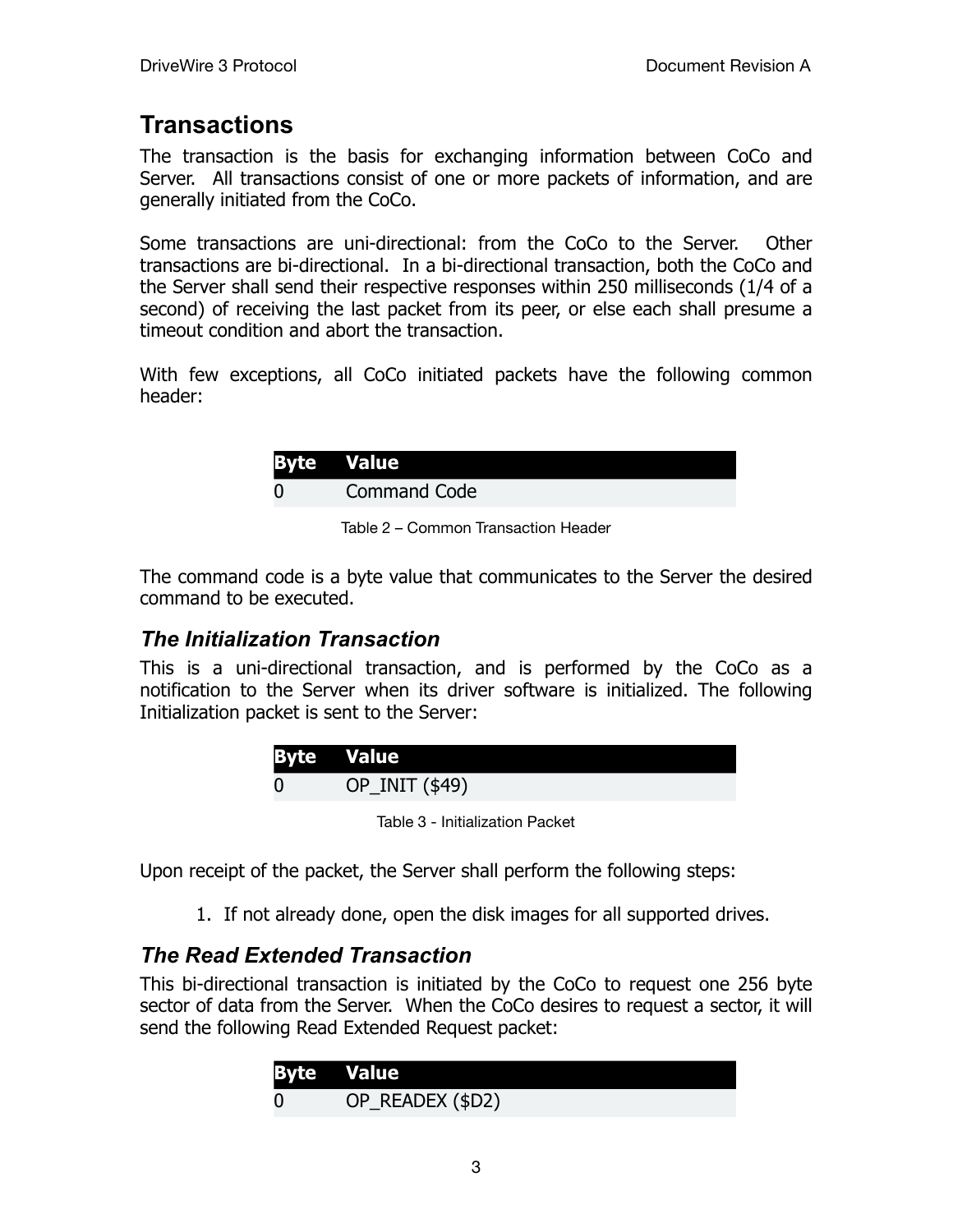## **Transactions**

The transaction is the basis for exchanging information between CoCo and Server. All transactions consist of one or more packets of information, and are generally initiated from the CoCo.

Some transactions are uni-directional: from the CoCo to the Server. Other transactions are bi-directional. In a bi-directional transaction, both the CoCo and the Server shall send their respective responses within 250 milliseconds (1/4 of a second) of receiving the last packet from its peer, or else each shall presume a timeout condition and abort the transaction.

With few exceptions, all CoCo initiated packets have the following common header:

| <b>Byte Value</b>   |
|---------------------|
| <b>Command Code</b> |

Table 2 – Common Transaction Header

The command code is a byte value that communicates to the Server the desired command to be executed.

#### *The Initialization Transaction*

This is a uni-directional transaction, and is performed by the CoCo as a notification to the Server when its driver software is initialized. The following Initialization packet is sent to the Server:

| <b>Byte Value</b> |
|-------------------|
| OP_INIT (\$49)    |

Table 3 - Initialization Packet

Upon receipt of the packet, the Server shall perform the following steps:

1. If not already done, open the disk images for all supported drives.

### *The Read Extended Transaction*

This bi-directional transaction is initiated by the CoCo to request one 256 byte sector of data from the Server. When the CoCo desires to request a sector, it will send the following Read Extended Request packet:

| <b>Byte Value</b> |
|-------------------|
| OP_READEX (\$D2)  |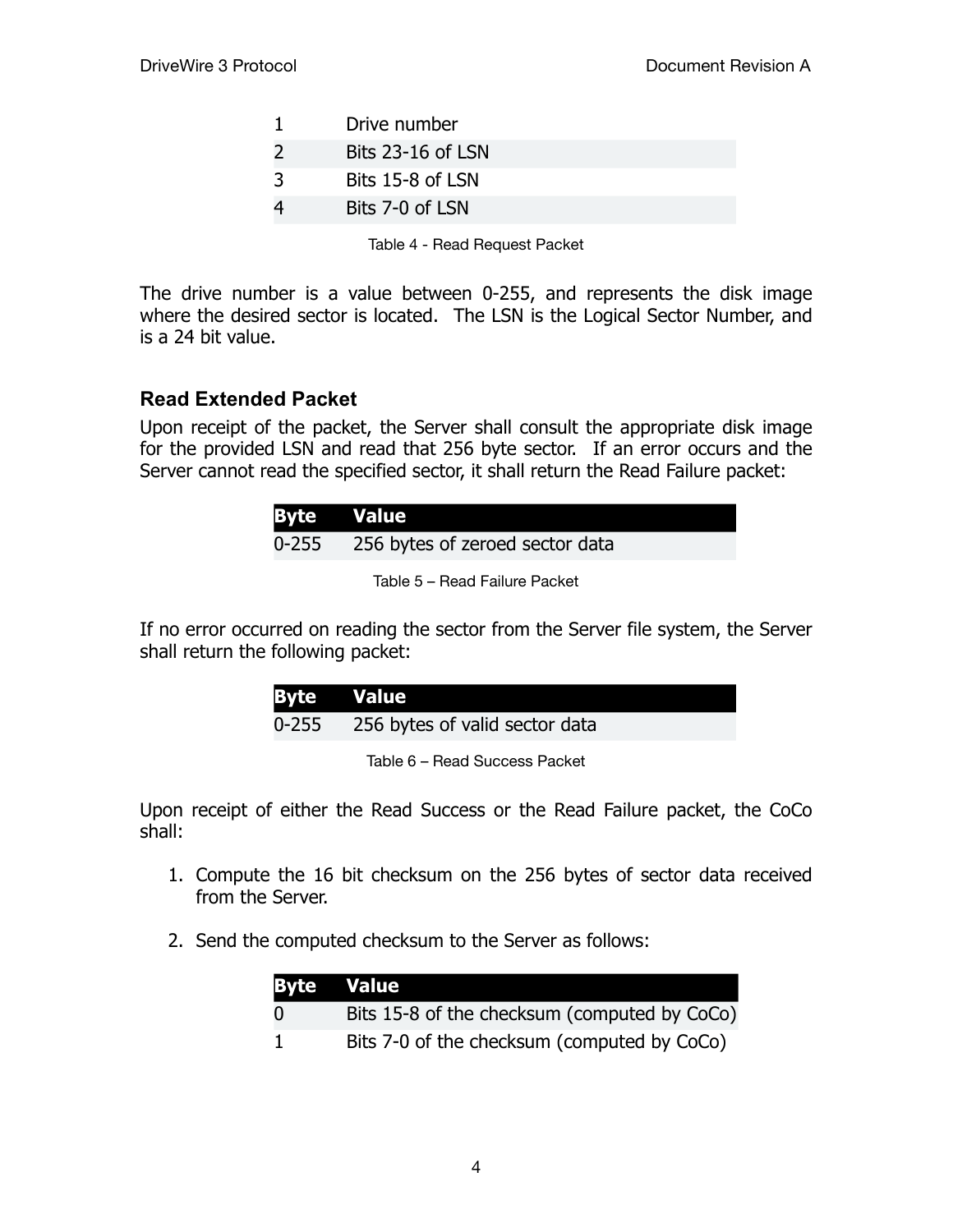|               | Drive number      |
|---------------|-------------------|
| $\mathcal{L}$ | Bits 23-16 of LSN |
| ़२            | Bits 15-8 of LSN  |
| 4             | Bits 7-0 of LSN   |

Table 4 - Read Request Packet

The drive number is a value between 0-255, and represents the disk image where the desired sector is located. The LSN is the Logical Sector Number, and is a 24 bit value.

#### **Read Extended Packet**

Upon receipt of the packet, the Server shall consult the appropriate disk image for the provided LSN and read that 256 byte sector. If an error occurs and the Server cannot read the specified sector, it shall return the Read Failure packet:

| <b>Byte Value</b> |                                 |
|-------------------|---------------------------------|
| 0-255             | 256 bytes of zeroed sector data |

Table 5 – Read Failure Packet

If no error occurred on reading the sector from the Server file system, the Server shall return the following packet:

| <b>Byte Value</b> |                                |
|-------------------|--------------------------------|
| 0-255             | 256 bytes of valid sector data |

Table 6 – Read Success Packet

Upon receipt of either the Read Success or the Read Failure packet, the CoCo shall:

- 1. Compute the 16 bit checksum on the 256 bytes of sector data received from the Server.
- 2. Send the computed checksum to the Server as follows:

|          | <b>Byte Value</b>                            |
|----------|----------------------------------------------|
| $\Omega$ | Bits 15-8 of the checksum (computed by CoCo) |
|          | Bits 7-0 of the checksum (computed by CoCo)  |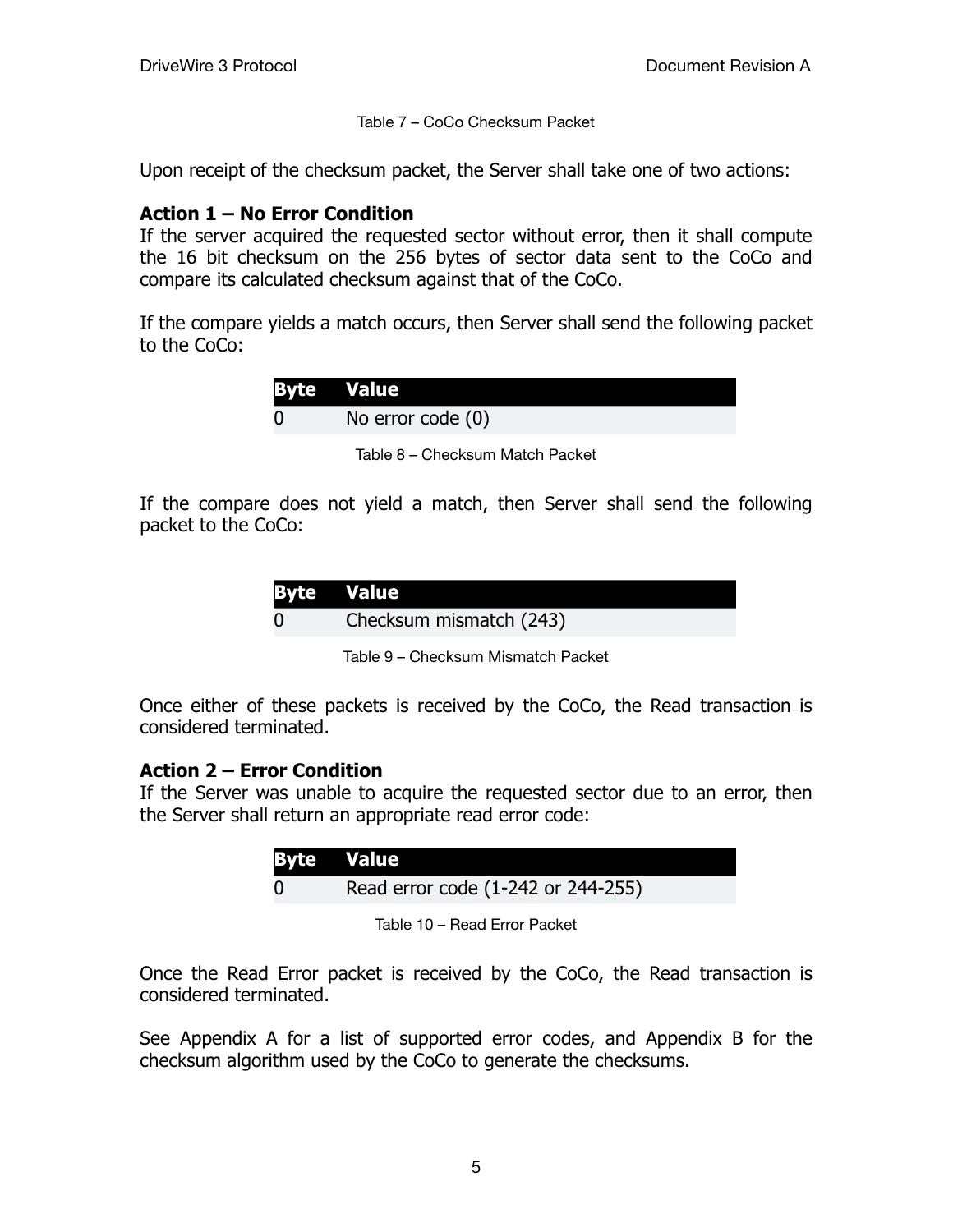Table 7 – CoCo Checksum Packet

Upon receipt of the checksum packet, the Server shall take one of two actions:

#### **Action 1 – No Error Condition**

If the server acquired the requested sector without error, then it shall compute the 16 bit checksum on the 256 bytes of sector data sent to the CoCo and compare its calculated checksum against that of the CoCo.

If the compare yields a match occurs, then Server shall send the following packet to the CoCo:

| <b>Byte Value</b> |
|-------------------|
| No error code (0) |

Table 8 – Checksum Match Packet

If the compare does not yield a match, then Server shall send the following packet to the CoCo:

| <b>Byte Value</b>       |
|-------------------------|
| Checksum mismatch (243) |

Table 9 – Checksum Mismatch Packet

Once either of these packets is received by the CoCo, the Read transaction is considered terminated.

#### **Action 2 – Error Condition**

If the Server was unable to acquire the requested sector due to an error, then the Server shall return an appropriate read error code:

| <b>Byte Value</b>                  |
|------------------------------------|
| Read error code (1-242 or 244-255) |

Table 10 – Read Error Packet

Once the Read Error packet is received by the CoCo, the Read transaction is considered terminated.

See Appendix A for a list of supported error codes, and Appendix B for the checksum algorithm used by the CoCo to generate the checksums.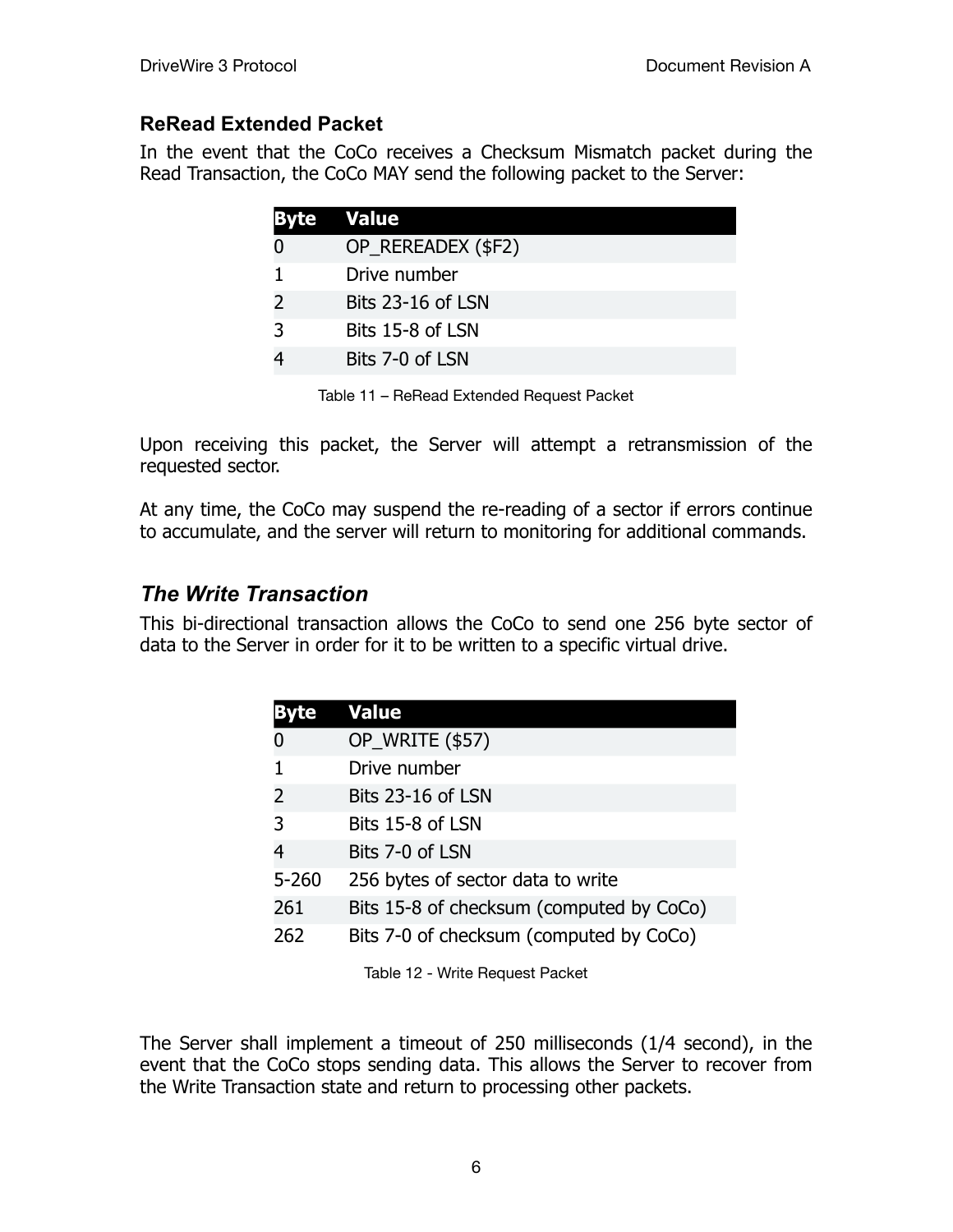#### **ReRead Extended Packet**

In the event that the CoCo receives a Checksum Mismatch packet during the Read Transaction, the CoCo MAY send the following packet to the Server:

| Byte          | <b>Value</b>       |
|---------------|--------------------|
|               | OP_REREADEX (\$F2) |
|               | Drive number       |
| $\mathcal{L}$ | Bits 23-16 of LSN  |
| 3             | Bits 15-8 of LSN   |
|               | Bits 7-0 of LSN    |

Table 11 – ReRead Extended Request Packet

Upon receiving this packet, the Server will attempt a retransmission of the requested sector.

At any time, the CoCo may suspend the re-reading of a sector if errors continue to accumulate, and the server will return to monitoring for additional commands.

## *The Write Transaction*

This bi-directional transaction allows the CoCo to send one 256 byte sector of data to the Server in order for it to be written to a specific virtual drive.

|                | <b>Value</b>                             |  |
|----------------|------------------------------------------|--|
| O              | OP_WRITE (\$57)                          |  |
| 1              | Drive number                             |  |
| $\overline{2}$ | Bits 23-16 of LSN                        |  |
| 3              | Bits 15-8 of LSN                         |  |
| 4              | Bits 7-0 of LSN                          |  |
| $5 - 260$      | 256 bytes of sector data to write        |  |
| 261            | Bits 15-8 of checksum (computed by CoCo) |  |
| 262            | Bits 7-0 of checksum (computed by CoCo)  |  |

Table 12 - Write Request Packet

The Server shall implement a timeout of 250 milliseconds (1/4 second), in the event that the CoCo stops sending data. This allows the Server to recover from the Write Transaction state and return to processing other packets.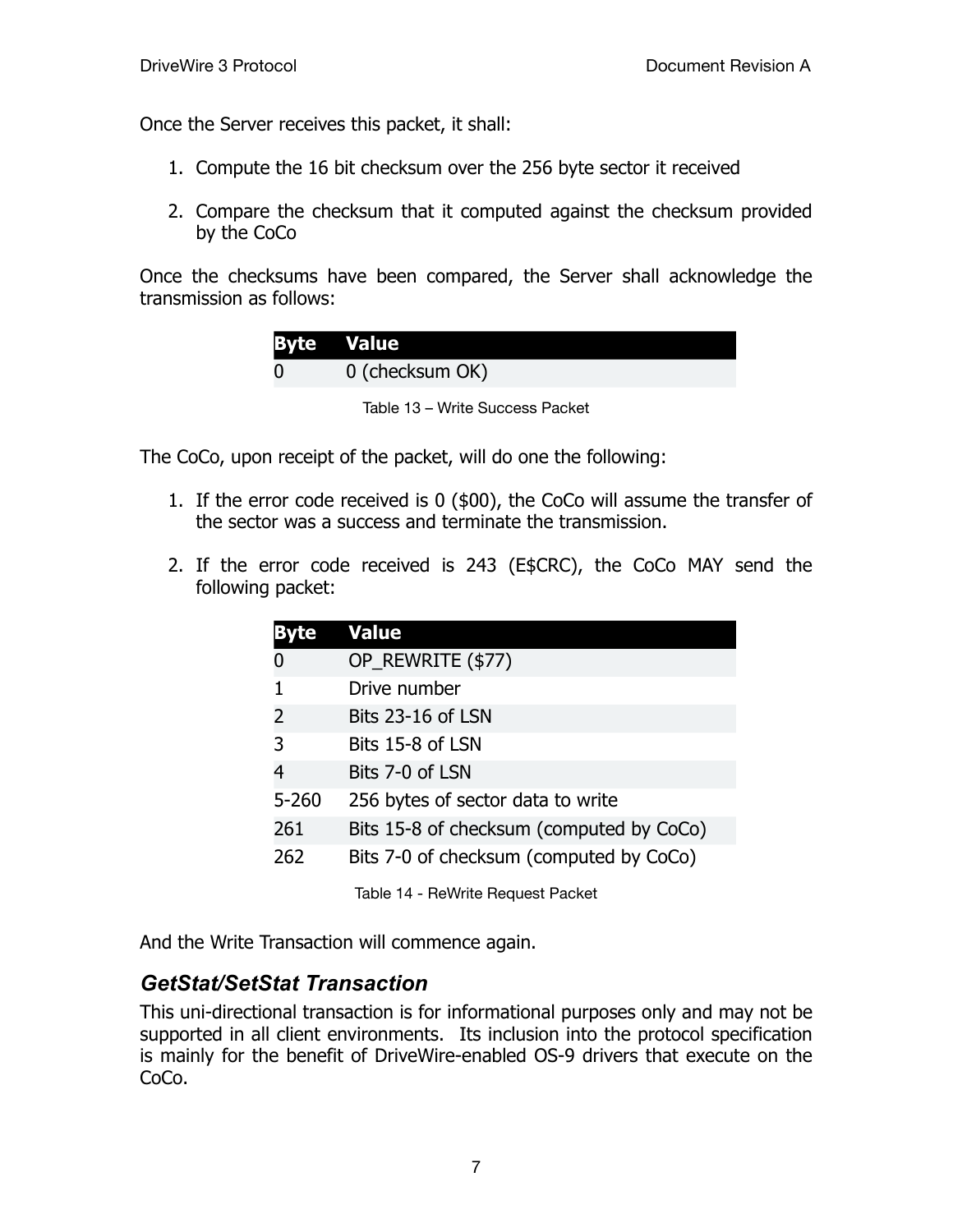Once the Server receives this packet, it shall:

- 1. Compute the 16 bit checksum over the 256 byte sector it received
- 2. Compare the checksum that it computed against the checksum provided by the CoCo

Once the checksums have been compared, the Server shall acknowledge the transmission as follows:

| <b>Byte Value</b> |
|-------------------|
| 0 (checksum OK)   |
|                   |



The CoCo, upon receipt of the packet, will do one the following:

- 1. If the error code received is 0 (\$00), the CoCo will assume the transfer of the sector was a success and terminate the transmission.
- 2. If the error code received is 243 (E\$CRC), the CoCo MAY send the following packet:

|                                                | <b>Value</b>                             |  |
|------------------------------------------------|------------------------------------------|--|
| O                                              | OP_REWRITE (\$77)                        |  |
| 1                                              | Drive number                             |  |
| 2                                              | <b>Bits 23-16 of LSN</b>                 |  |
| 3                                              | Bits 15-8 of LSN                         |  |
| 4                                              | Bits 7-0 of LSN                          |  |
| $5 - 260$                                      | 256 bytes of sector data to write        |  |
| 261                                            | Bits 15-8 of checksum (computed by CoCo) |  |
| Bits 7-0 of checksum (computed by CoCo)<br>262 |                                          |  |
|                                                | Table 14 - ReWrite Request Packet        |  |

And the Write Transaction will commence again.

### *GetStat/SetStat Transaction*

This uni-directional transaction is for informational purposes only and may not be supported in all client environments. Its inclusion into the protocol specification is mainly for the benefit of DriveWire-enabled OS-9 drivers that execute on the CoCo.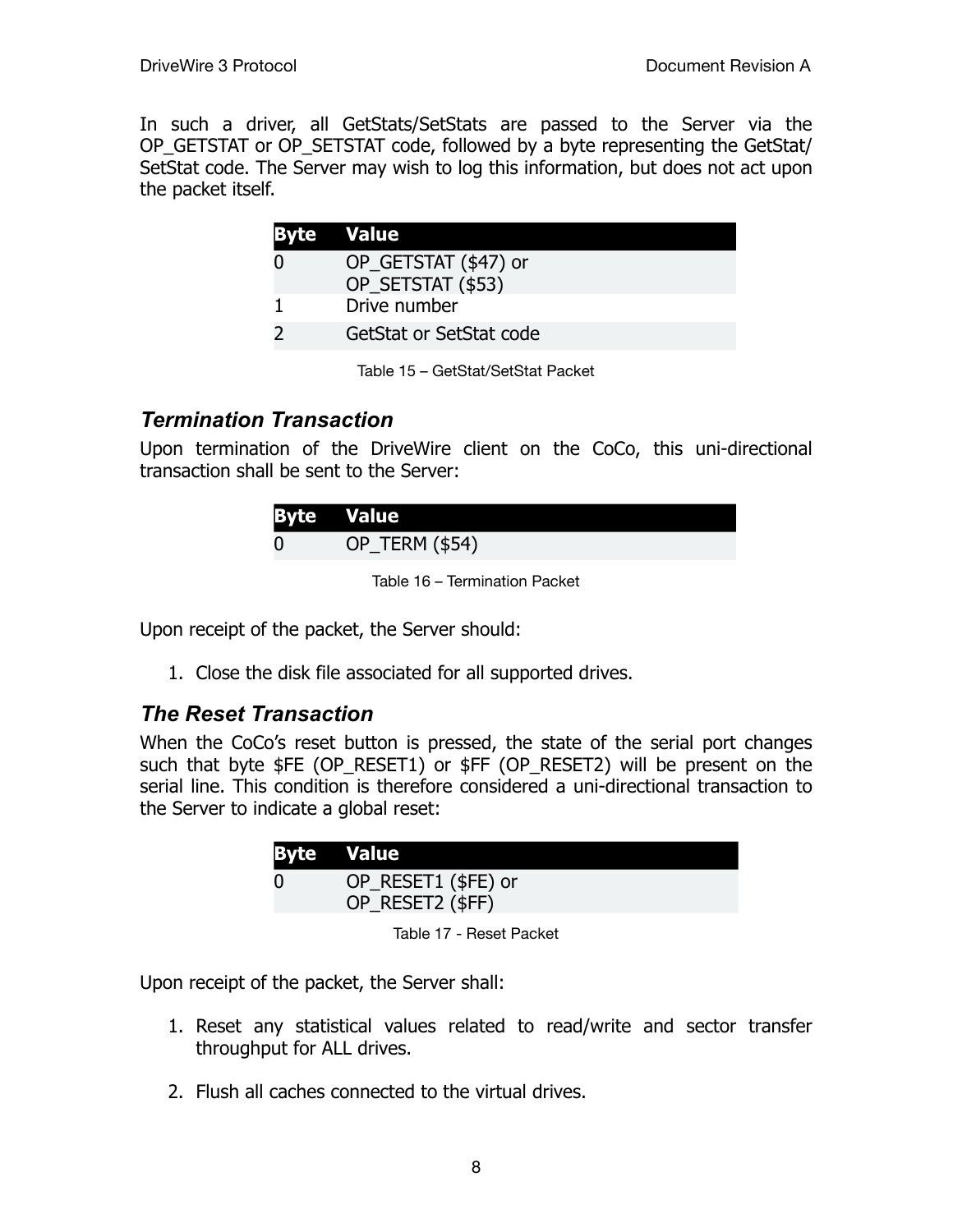In such a driver, all GetStats/SetStats are passed to the Server via the OP\_GETSTAT or OP\_SETSTAT code, followed by a byte representing the GetStat/ SetStat code. The Server may wish to log this information, but does not act upon the packet itself.

| <b>Byte Value</b> |                                           |
|-------------------|-------------------------------------------|
|                   | OP_GETSTAT (\$47) or<br>OP SETSTAT (\$53) |
|                   | Drive number                              |
|                   | GetStat or SetStat code                   |

Table 15 – GetStat/SetStat Packet

#### *Termination Transaction*

Upon termination of the DriveWire client on the CoCo, this uni-directional transaction shall be sent to the Server:

| <b>Byte Value</b> |                |
|-------------------|----------------|
| $\bf{0}$          | OP_TERM (\$54) |

Table 16 – Termination Packet

Upon receipt of the packet, the Server should:

1. Close the disk file associated for all supported drives.

#### *The Reset Transaction*

When the CoCo's reset button is pressed, the state of the serial port changes such that byte \$FE (OP RESET1) or \$FF (OP RESET2) will be present on the serial line. This condition is therefore considered a uni-directional transaction to the Server to indicate a global reset:

| <b>Byte Value</b>                       |
|-----------------------------------------|
| OP_RESET1 (\$FE) or<br>OP_RESET2 (\$FF) |

Table 17 - Reset Packet

Upon receipt of the packet, the Server shall:

- 1. Reset any statistical values related to read/write and sector transfer throughput for ALL drives.
- 2. Flush all caches connected to the virtual drives.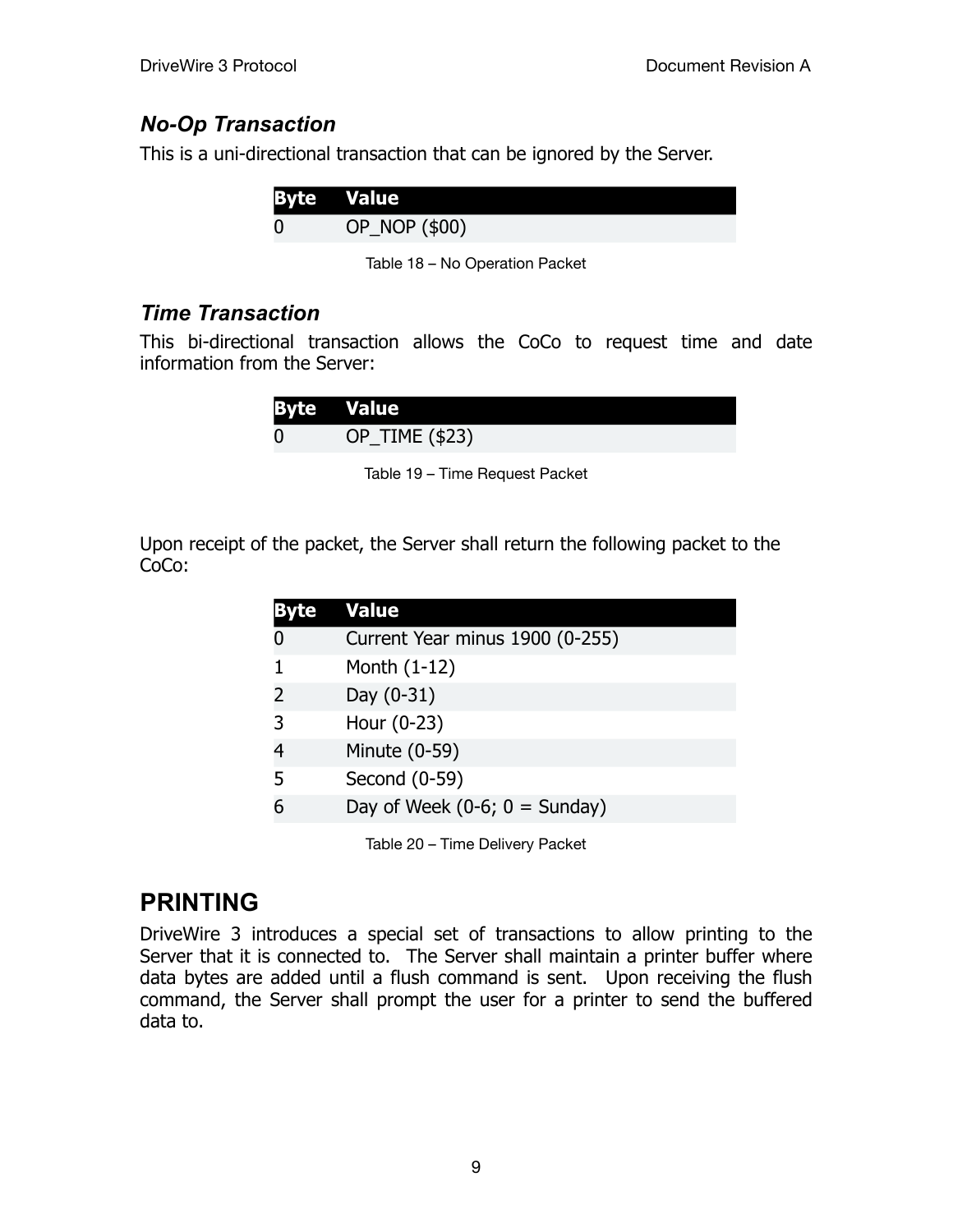### *No-Op Transaction*

This is a uni-directional transaction that can be ignored by the Server.

| <b>Byte Value</b> |  |
|-------------------|--|
| OP_NOP (\$00)     |  |

Table 18 – No Operation Packet

#### *Time Transaction*

This bi-directional transaction allows the CoCo to request time and date information from the Server:

| <b>Byte Value</b> |
|-------------------|
| OP_TIME (\$23)    |

Table 19 – Time Request Packet

Upon receipt of the packet, the Server shall return the following packet to the CoCo:

|                | <b>Value</b>                    |  |
|----------------|---------------------------------|--|
| 0              | Current Year minus 1900 (0-255) |  |
|                | Month $(1-12)$                  |  |
| 2              | Day $(0-31)$                    |  |
|                | Hour (0-23)                     |  |
| $\overline{4}$ | Minute (0-59)                   |  |
| 5              | Second (0-59)                   |  |
|                | Day of Week $(0-6; 0 =$ Sunday) |  |
|                |                                 |  |

Table 20 – Time Delivery Packet

## **PRINTING**

DriveWire 3 introduces a special set of transactions to allow printing to the Server that it is connected to. The Server shall maintain a printer buffer where data bytes are added until a flush command is sent. Upon receiving the flush command, the Server shall prompt the user for a printer to send the buffered data to.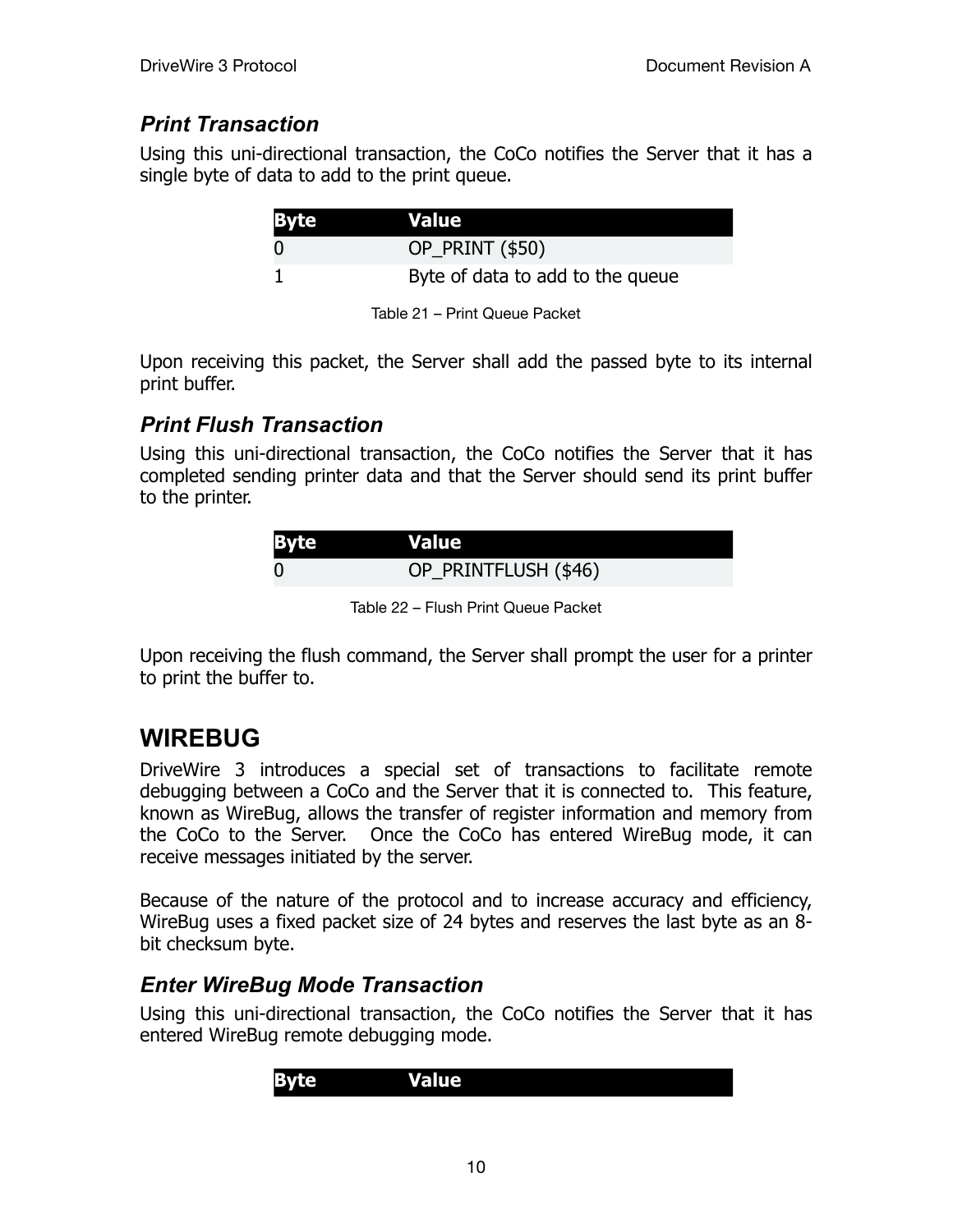## *Print Transaction*

Using this uni-directional transaction, the CoCo notifies the Server that it has a single byte of data to add to the print queue.

| <b>Byte</b> | <b>Value</b>                     |
|-------------|----------------------------------|
|             | <b>OP_PRINT (\$50)</b>           |
|             | Byte of data to add to the queue |

Table 21 – Print Queue Packet

Upon receiving this packet, the Server shall add the passed byte to its internal print buffer.

## *Print Flush Transaction*

Using this uni-directional transaction, the CoCo notifies the Server that it has completed sending printer data and that the Server should send its print buffer to the printer.

| <b>Byte</b> | <b>Value</b>         |
|-------------|----------------------|
|             | OP_PRINTFLUSH (\$46) |

Table 22 – Flush Print Queue Packet

Upon receiving the flush command, the Server shall prompt the user for a printer to print the buffer to.

# **WIREBUG**

DriveWire 3 introduces a special set of transactions to facilitate remote debugging between a CoCo and the Server that it is connected to. This feature, known as WireBug, allows the transfer of register information and memory from the CoCo to the Server. Once the CoCo has entered WireBug mode, it can receive messages initiated by the server.

Because of the nature of the protocol and to increase accuracy and efficiency, WireBug uses a fixed packet size of 24 bytes and reserves the last byte as an 8 bit checksum byte.

### *Enter WireBug Mode Transaction*

Using this uni-directional transaction, the CoCo notifies the Server that it has entered WireBug remote debugging mode.

| <u>чат.</u> | ™alπ⊾ |  |
|-------------|-------|--|
|-------------|-------|--|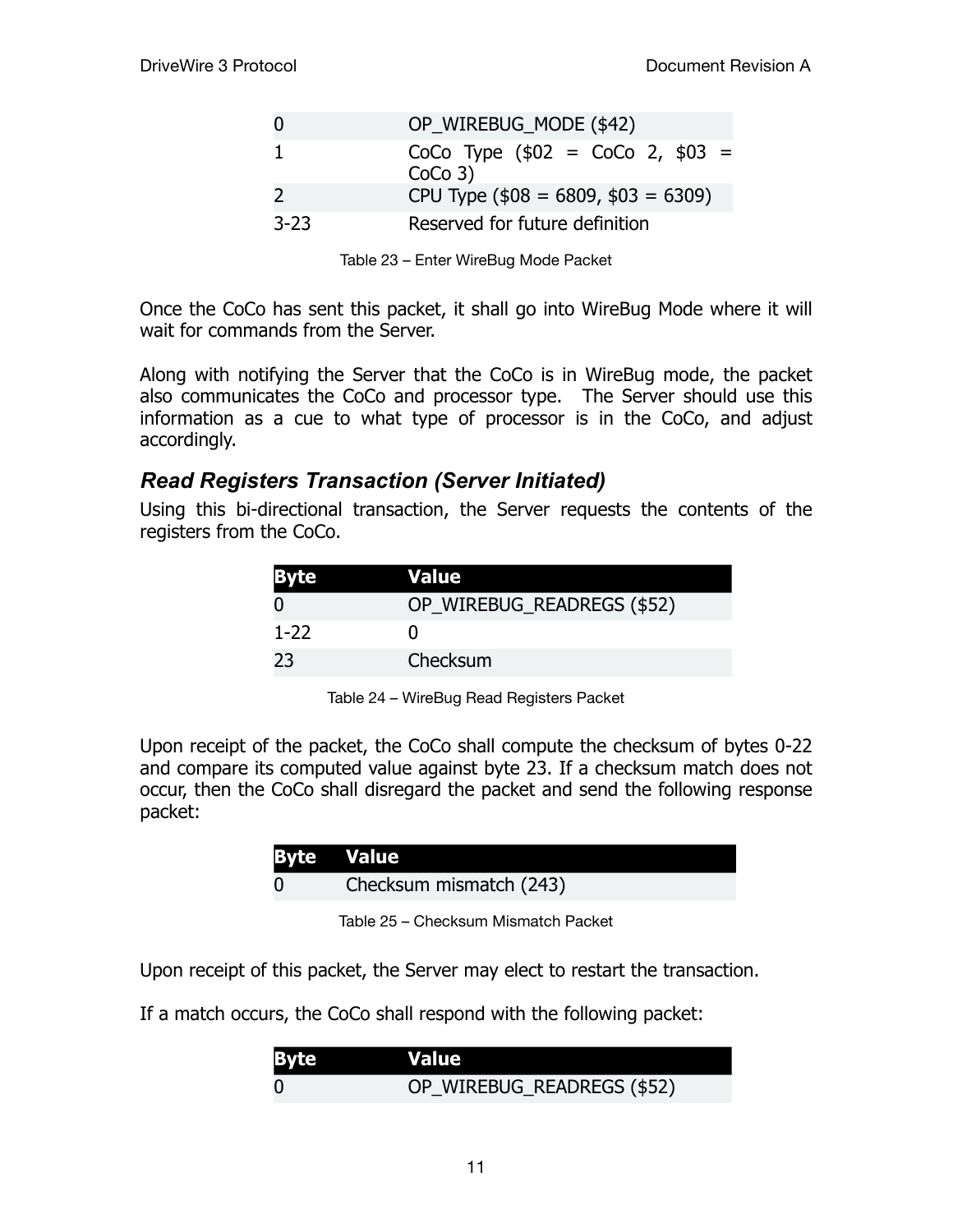|        | OP WIREBUG MODE (\$42)                        |
|--------|-----------------------------------------------|
|        | CoCo Type $($02 = CoCo 2, $03 =$<br>$CoCo3$ ) |
|        | CPU Type $($08 = 6809, $03 = 6309)$           |
| $3-23$ | Reserved for future definition                |

|  | Table 23 - Enter WireBug Mode Packet |  |
|--|--------------------------------------|--|
|  |                                      |  |

Once the CoCo has sent this packet, it shall go into WireBug Mode where it will wait for commands from the Server.

Along with notifying the Server that the CoCo is in WireBug mode, the packet also communicates the CoCo and processor type. The Server should use this information as a cue to what type of processor is in the CoCo, and adjust accordingly.

#### *Read Registers Transaction (Server Initiated)*

Using this bi-directional transaction, the Server requests the contents of the registers from the CoCo.

| <b>Byte</b> | Value                      |
|-------------|----------------------------|
|             | OP_WIREBUG_READREGS (\$52) |
| $1 - 22$    |                            |
| 23          | Checksum                   |

Table 24 – WireBug Read Registers Packet

Upon receipt of the packet, the CoCo shall compute the checksum of bytes 0-22 and compare its computed value against byte 23. If a checksum match does not occur, then the CoCo shall disregard the packet and send the following response packet:

| Checksum mismatch (243) |  |
|-------------------------|--|

Table 25 – Checksum Mismatch Packet

Upon receipt of this packet, the Server may elect to restart the transaction.

If a match occurs, the CoCo shall respond with the following packet:

| <b>Byte</b> | <b>Value</b>               |
|-------------|----------------------------|
| $\Omega$    | OP_WIREBUG_READREGS (\$52) |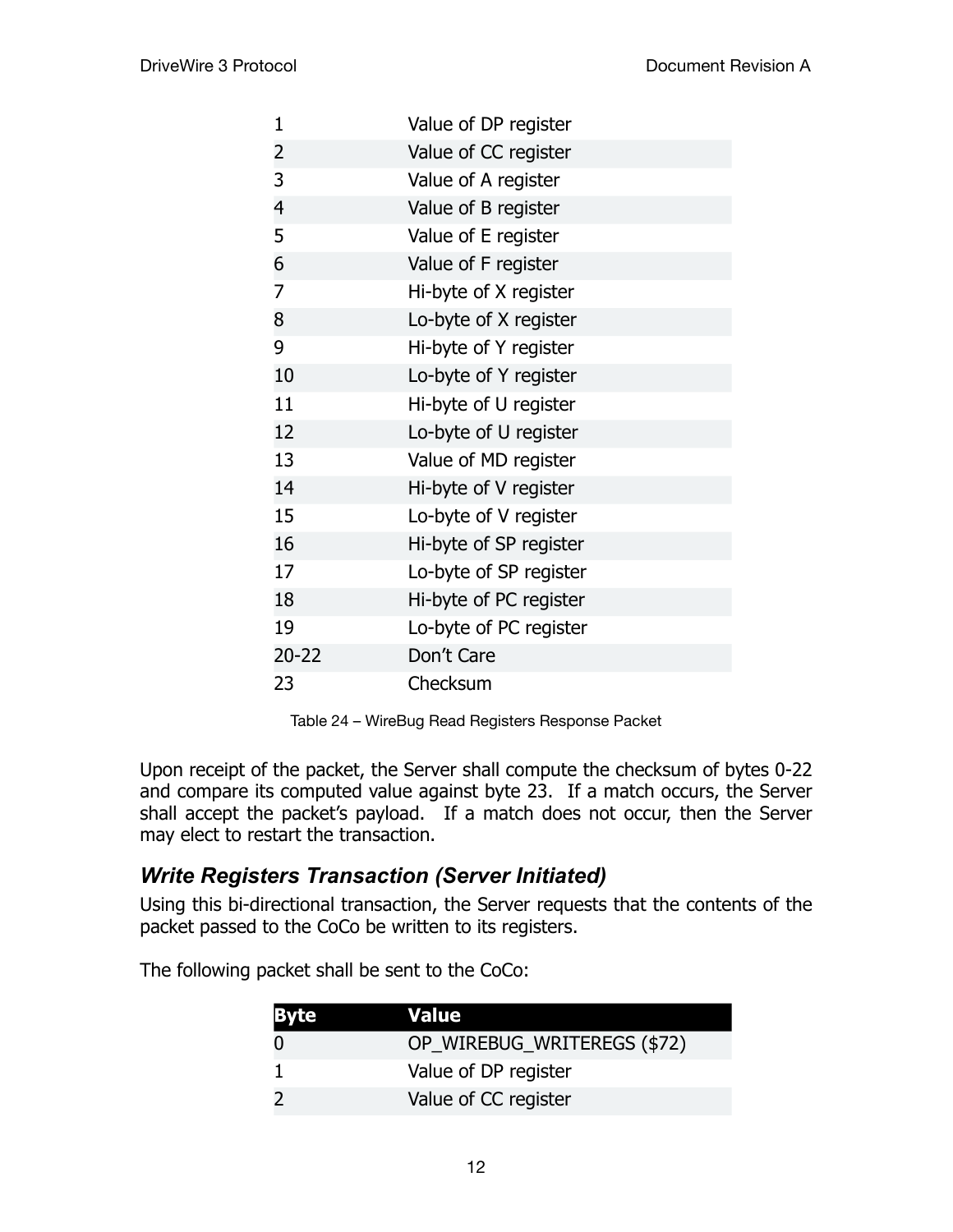| 1              | Value of DP register   |
|----------------|------------------------|
| $\overline{2}$ | Value of CC register   |
| 3              | Value of A register    |
| $\overline{4}$ | Value of B register    |
| 5              | Value of E register    |
| 6              | Value of F register    |
| 7              | Hi-byte of X register  |
| 8              | Lo-byte of X register  |
| 9              | Hi-byte of Y register  |
| 10             | Lo-byte of Y register  |
| 11             | Hi-byte of U register  |
| 12             | Lo-byte of U register  |
| 13             | Value of MD register   |
| 14             | Hi-byte of V register  |
| 15             | Lo-byte of V register  |
| 16             | Hi-byte of SP register |
| 17             | Lo-byte of SP register |
| 18             | Hi-byte of PC register |
| 19             | Lo-byte of PC register |
| $20 - 22$      | Don't Care             |
| 23             | Checksum               |

Table 24 – WireBug Read Registers Response Packet

Upon receipt of the packet, the Server shall compute the checksum of bytes 0-22 and compare its computed value against byte 23. If a match occurs, the Server shall accept the packet's payload. If a match does not occur, then the Server may elect to restart the transaction.

#### *Write Registers Transaction (Server Initiated)*

Using this bi-directional transaction, the Server requests that the contents of the packet passed to the CoCo be written to its registers.

The following packet shall be sent to the CoCo:

| <b>Byte</b> | Value                       |
|-------------|-----------------------------|
|             | OP_WIREBUG_WRITEREGS (\$72) |
|             | Value of DP register        |
|             | Value of CC register        |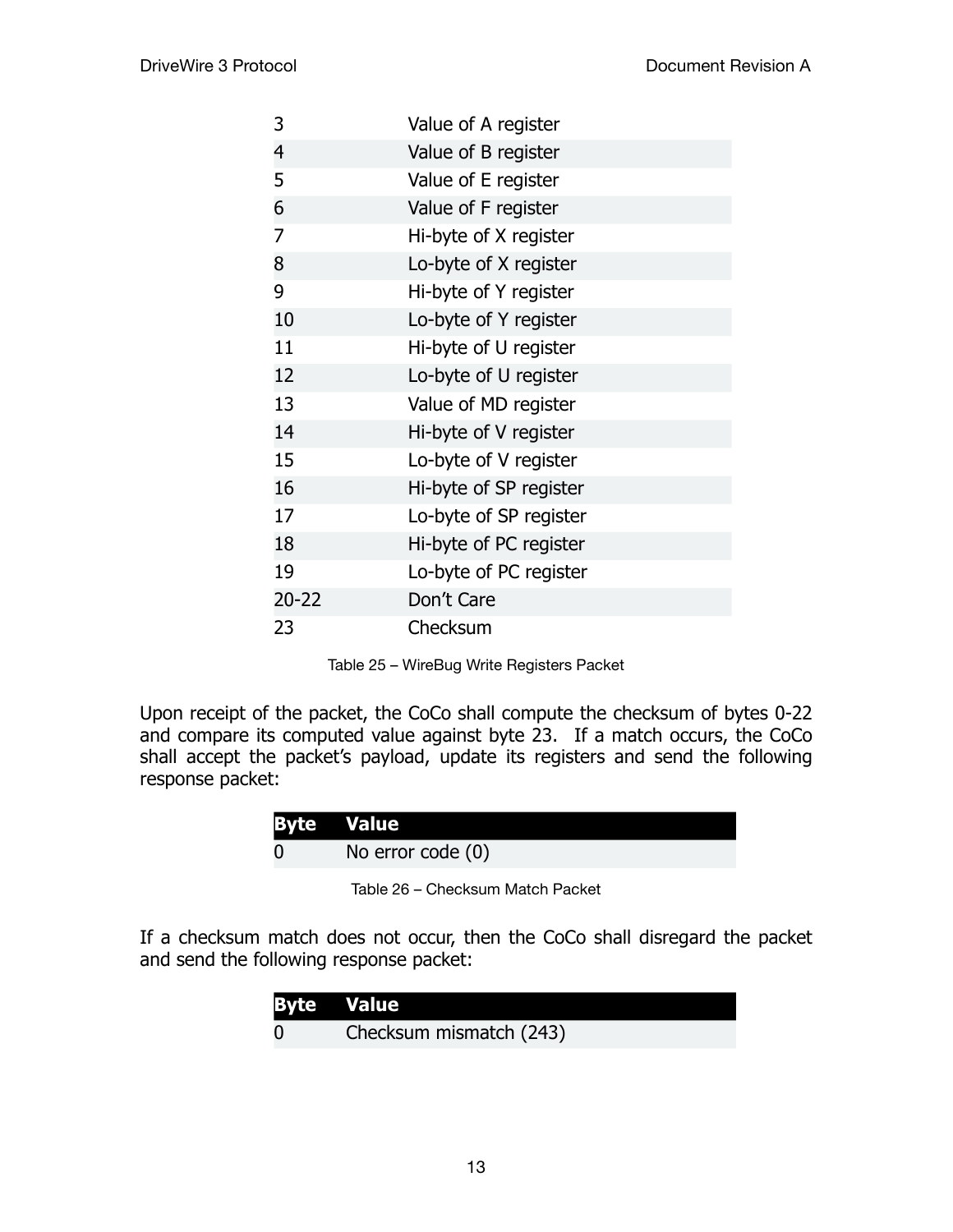| 3              | Value of A register    |
|----------------|------------------------|
| 4              | Value of B register    |
| 5              | Value of E register    |
| 6              | Value of F register    |
| $\overline{7}$ | Hi-byte of X register  |
| 8              | Lo-byte of X register  |
| 9              | Hi-byte of Y register  |
| 10             | Lo-byte of Y register  |
| 11             | Hi-byte of U register  |
| 12             | Lo-byte of U register  |
| 13             | Value of MD register   |
| 14             | Hi-byte of V register  |
| 15             | Lo-byte of V register  |
| 16             | Hi-byte of SP register |
| 17             | Lo-byte of SP register |
| 18             | Hi-byte of PC register |
| 19             | Lo-byte of PC register |
| $20 - 22$      | Don't Care             |
| 23             | Checksum               |

Table 25 – WireBug Write Registers Packet

Upon receipt of the packet, the CoCo shall compute the checksum of bytes 0-22 and compare its computed value against byte 23. If a match occurs, the CoCo shall accept the packet's payload, update its registers and send the following response packet:

| <b>Byte Value</b> |                     |
|-------------------|---------------------|
|                   | No error code $(0)$ |

Table 26 – Checksum Match Packet

If a checksum match does not occur, then the CoCo shall disregard the packet and send the following response packet:

| <b>Byte Value</b>       |
|-------------------------|
| Checksum mismatch (243) |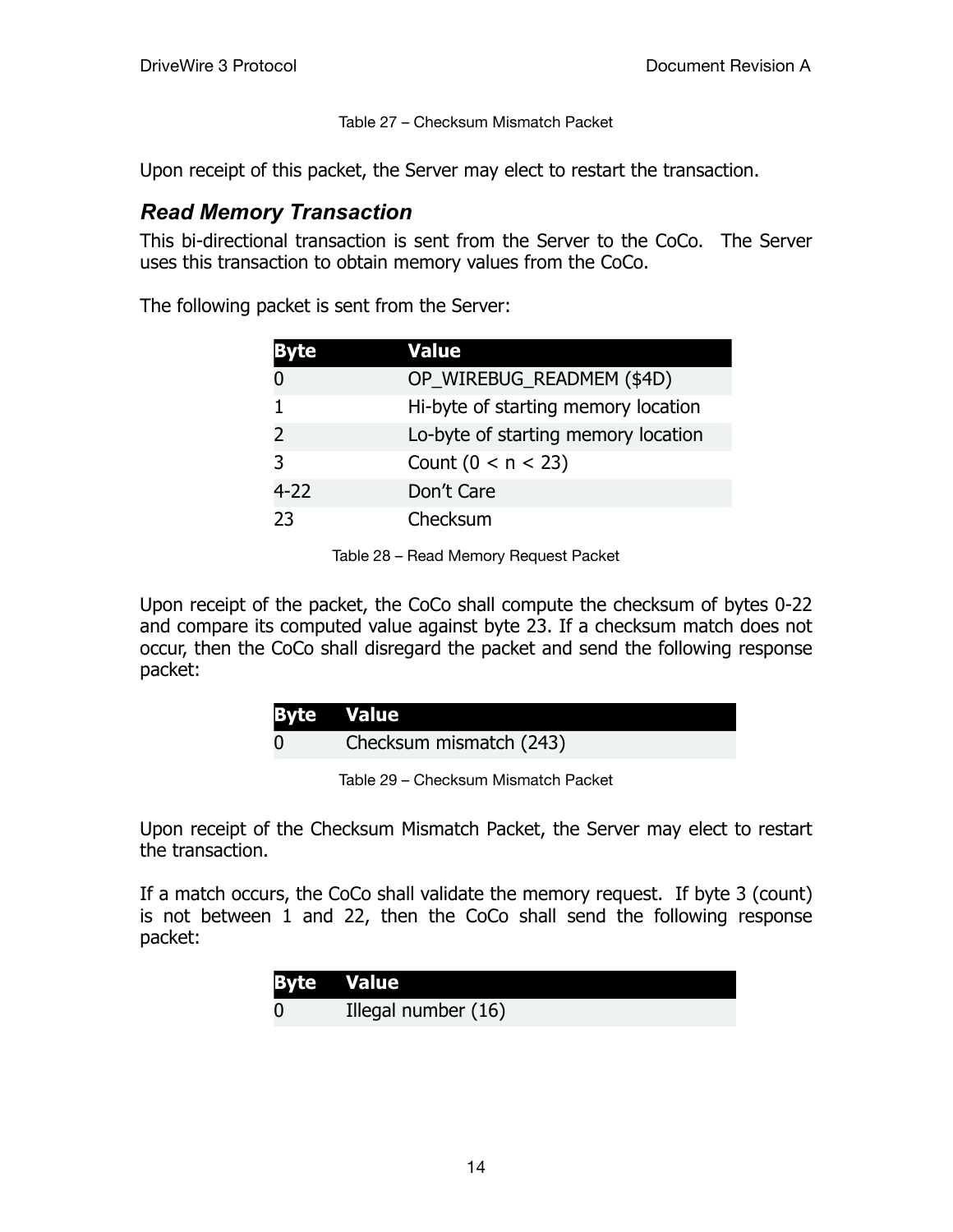Table 27 – Checksum Mismatch Packet

Upon receipt of this packet, the Server may elect to restart the transaction.

#### *Read Memory Transaction*

This bi-directional transaction is sent from the Server to the CoCo. The Server uses this transaction to obtain memory values from the CoCo.

The following packet is sent from the Server:

| æ        | Value                               |
|----------|-------------------------------------|
|          | OP_WIREBUG_READMEM (\$4D)           |
|          | Hi-byte of starting memory location |
| 2        | Lo-byte of starting memory location |
| 3        | Count $(0 < n < 23)$                |
| $4 - 22$ | Don't Care                          |
| 23       | Checksum                            |

Table 28 – Read Memory Request Packet

Upon receipt of the packet, the CoCo shall compute the checksum of bytes 0-22 and compare its computed value against byte 23. If a checksum match does not occur, then the CoCo shall disregard the packet and send the following response packet:

| <b>Byte Value</b> |                         |
|-------------------|-------------------------|
|                   | Checksum mismatch (243) |

Table 29 – Checksum Mismatch Packet

Upon receipt of the Checksum Mismatch Packet, the Server may elect to restart the transaction.

If a match occurs, the CoCo shall validate the memory request. If byte 3 (count) is not between 1 and 22, then the CoCo shall send the following response packet:

| <b>Byte Value</b>   |
|---------------------|
| Illegal number (16) |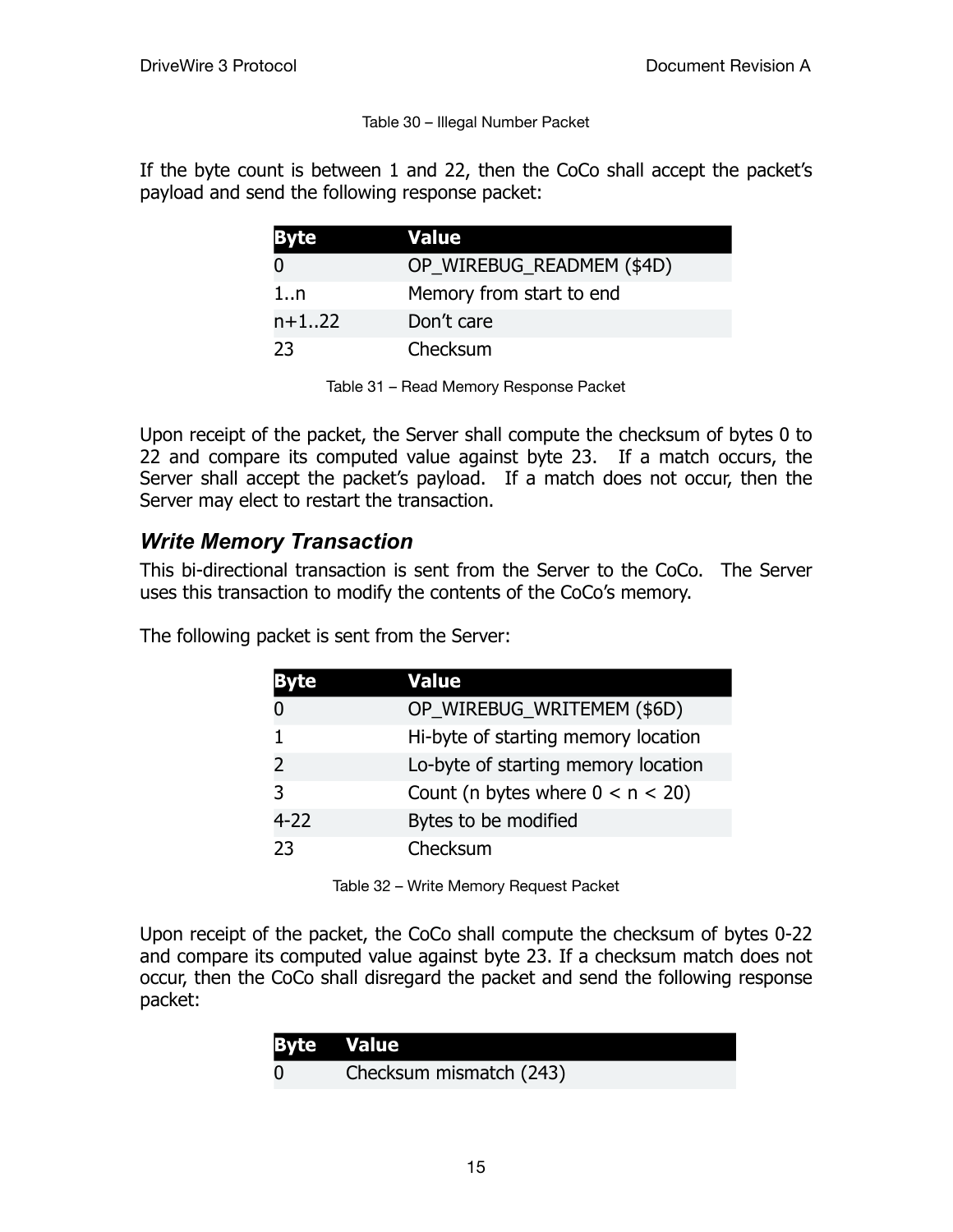#### Table 30 – Illegal Number Packet

If the byte count is between 1 and 22, then the CoCo shall accept the packet's payload and send the following response packet:

| <b>Byte</b> | Value                     |
|-------------|---------------------------|
|             | OP_WIREBUG_READMEM (\$4D) |
| 1n          | Memory from start to end  |
| $n+122$     | Don't care                |
| 23          | Checksum                  |

Table 31 – Read Memory Response Packet

Upon receipt of the packet, the Server shall compute the checksum of bytes 0 to 22 and compare its computed value against byte 23. If a match occurs, the Server shall accept the packet's payload. If a match does not occur, then the Server may elect to restart the transaction.

#### *Write Memory Transaction*

This bi-directional transaction is sent from the Server to the CoCo. The Server uses this transaction to modify the contents of the CoCo's memory.

The following packet is sent from the Server:

|               | Value                               |
|---------------|-------------------------------------|
|               | OP_WIREBUG_WRITEMEM (\$6D)          |
|               | Hi-byte of starting memory location |
| $\mathcal{P}$ | Lo-byte of starting memory location |
| 3             | Count (n bytes where $0 < n < 20$ ) |
| 4-22          | Bytes to be modified                |
| 23            | Checksum                            |

Table 32 – Write Memory Request Packet

Upon receipt of the packet, the CoCo shall compute the checksum of bytes 0-22 and compare its computed value against byte 23. If a checksum match does not occur, then the CoCo shall disregard the packet and send the following response packet:

| <b>Byte Value</b> |                         |
|-------------------|-------------------------|
| $\overline{0}$    | Checksum mismatch (243) |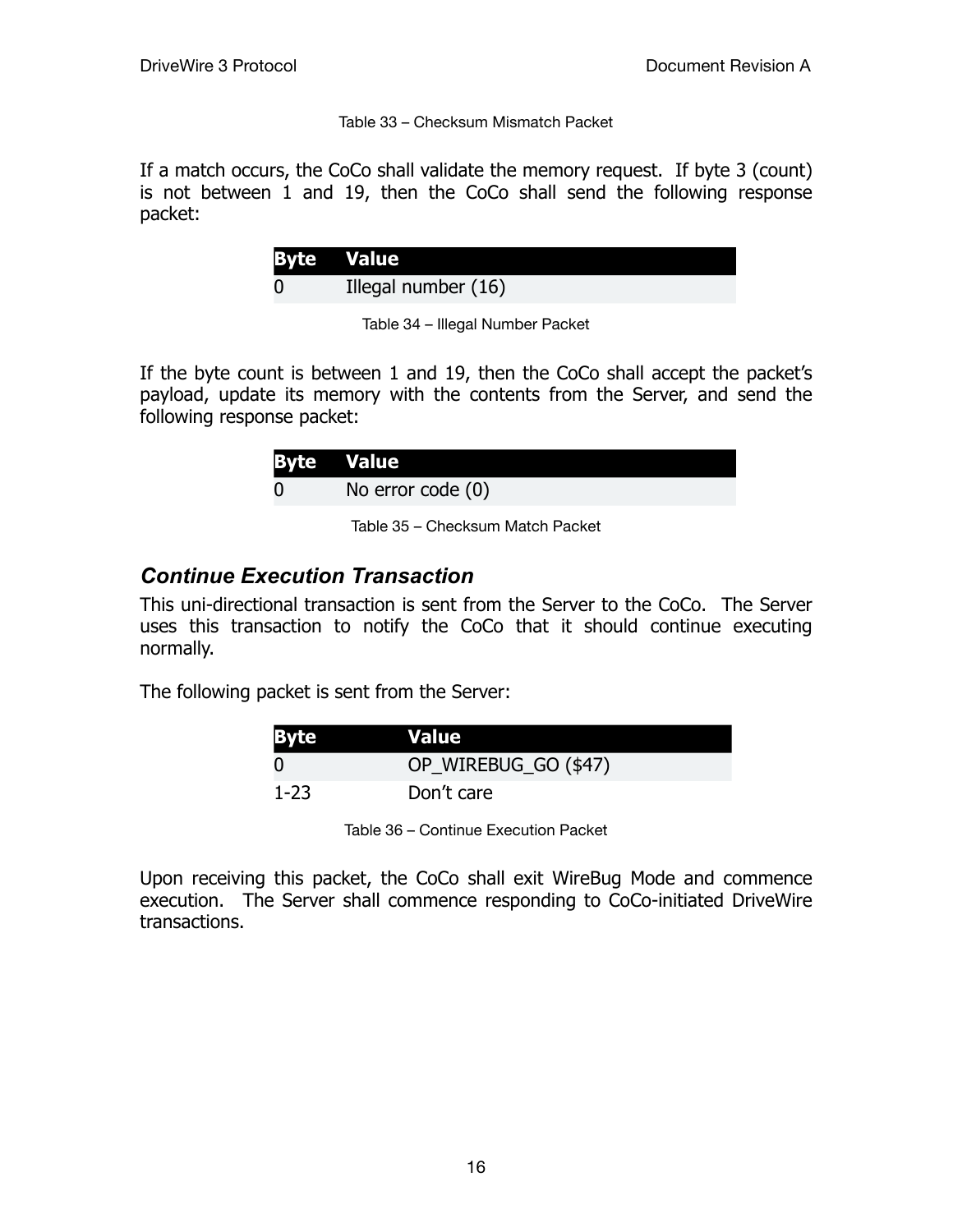Table 33 – Checksum Mismatch Packet

If a match occurs, the CoCo shall validate the memory request. If byte 3 (count) is not between 1 and 19, then the CoCo shall send the following response packet:

| <b>Byte Value</b>   |
|---------------------|
| Illegal number (16) |

Table 34 – Illegal Number Packet

If the byte count is between 1 and 19, then the CoCo shall accept the packet's payload, update its memory with the contents from the Server, and send the following response packet:

| <b>Byte Value</b> |
|-------------------|
| No error code (0) |

Table 35 – Checksum Match Packet

#### *Continue Execution Transaction*

This uni-directional transaction is sent from the Server to the CoCo. The Server uses this transaction to notify the CoCo that it should continue executing normally.

The following packet is sent from the Server:

| <b>Byte</b> | <b>Value</b>         |
|-------------|----------------------|
| - ()        | OP_WIREBUG_GO (\$47) |
| $1 - 23$    | Don't care           |

Table 36 – Continue Execution Packet

Upon receiving this packet, the CoCo shall exit WireBug Mode and commence execution. The Server shall commence responding to CoCo-initiated DriveWire transactions.